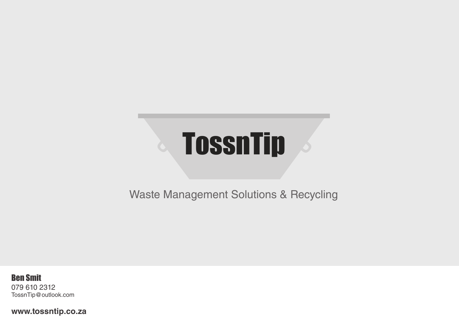# **TossnTip**

Waste Management Solutions & Recycling

Ben Smit 079 610 2312 TossnTip@outlook.com

**www.tossntip.co.za**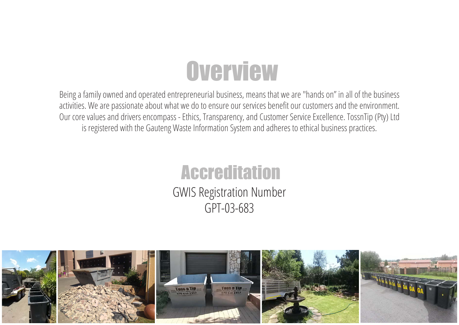## **Overview**

Being a family owned and operated entrepreneurial business, means that we are "hands on" in all of the business activities. We are passionate about what we do to ensure our services benefit our customers and the environment. Our core values and drivers encompass - Ethics, Transparency, and Customer Service Excellence. TossnTip (Pty) Ltd is registered with the Gauteng Waste Information System and adheres to ethical business practices.

#### **Accreditation**

GWIS Registration Number GPT-03-683

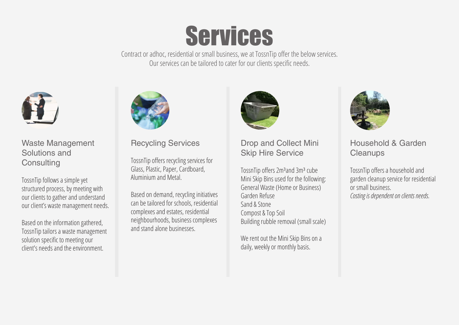## Services

Contract or adhoc, residential or small business, we at TossnTip offer the below services. Our services can be tailored to cater for our clients specific needs.



Waste Management Solutions and **Consulting** 

TossnTip follows a simple yet structured process, by meeting with our clients to gather and understand our client's waste management needs.

Based on the information gathered, TossnTip tailors a waste management solution specific to meeting our client's needs and the environment.



Recycling Services

TossnTip offers recycling services for Glass, Plastic, Paper, Cardboard, Aluminium and Metal.

Based on demand, recycling initiatives can be tailored for schools, residential complexes and estates, residential neighbourhoods, business complexes and stand alone businesses.



Drop and Collect Mini Skip Hire Service

TossnTip offers 2m<sup>3</sup>and 3m<sup>3</sup> cube Mini Skip Bins used for the following: General Waste (Home or Business) Garden Refuse Sand & Stone Compost & Top Soil Building rubble removal (small scale)

We rent out the Mini Skip Bins on a daily, weekly or monthly basis.



Household & Garden **Cleanups** 

TossnTip offers a household and garden cleanup service for residential or small business. *Costing is dependent on clients needs.*